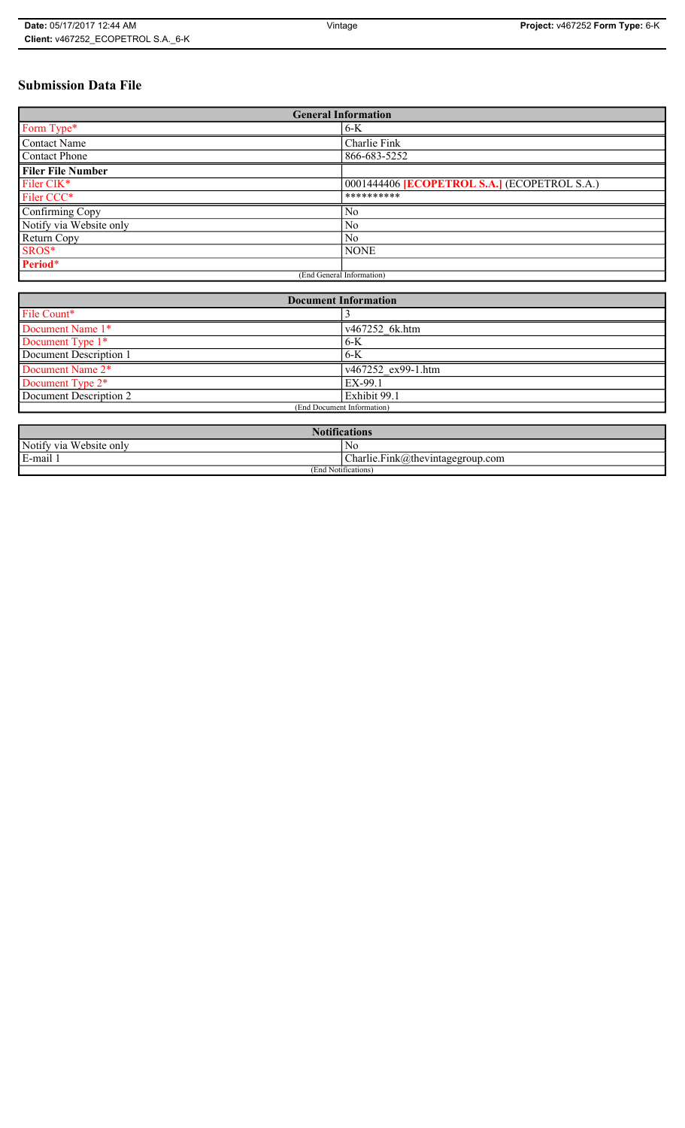# **Submission Data File**

| <b>General Information</b> |                                                     |
|----------------------------|-----------------------------------------------------|
| Form Type*                 | $6-K$                                               |
| <b>Contact Name</b>        | Charlie Fink                                        |
| <b>Contact Phone</b>       | 866-683-5252                                        |
| <b>Filer File Number</b>   |                                                     |
| Filer CIK*                 | 0001444406 <b>[ECOPETROL S.A.]</b> (ECOPETROL S.A.) |
| Filer CCC*                 | **********                                          |
| Confirming Copy            | N <sub>0</sub>                                      |
| Notify via Website only    | N <sub>0</sub>                                      |
| Return Copy                | N <sub>o</sub>                                      |
| SROS*                      | <b>NONE</b>                                         |
| Period*                    |                                                     |
| (End General Information)  |                                                     |

| <b>Document Information</b> |                    |
|-----------------------------|--------------------|
| File Count*                 |                    |
| Document Name 1*            | v467252 6k.htm     |
| Document Type 1*            | $6-K$              |
| Document Description 1      | $6-K$              |
| Document Name 2*            | v467252 ex99-1.htm |
| Document Type 2*            | EX-99.1            |
| Document Description 2      | Exhibit 99.1       |
| (End Document Information)  |                    |
|                             |                    |

| <b>Notifications</b>       |                                                                   |
|----------------------------|-------------------------------------------------------------------|
| Notify via<br>Website only | No                                                                |
| E-mail 1                   | $\blacksquare$<br>$\sim$<br>$Charlie.Fink(a)$ thevintagegroup.com |
| (End Notifications)        |                                                                   |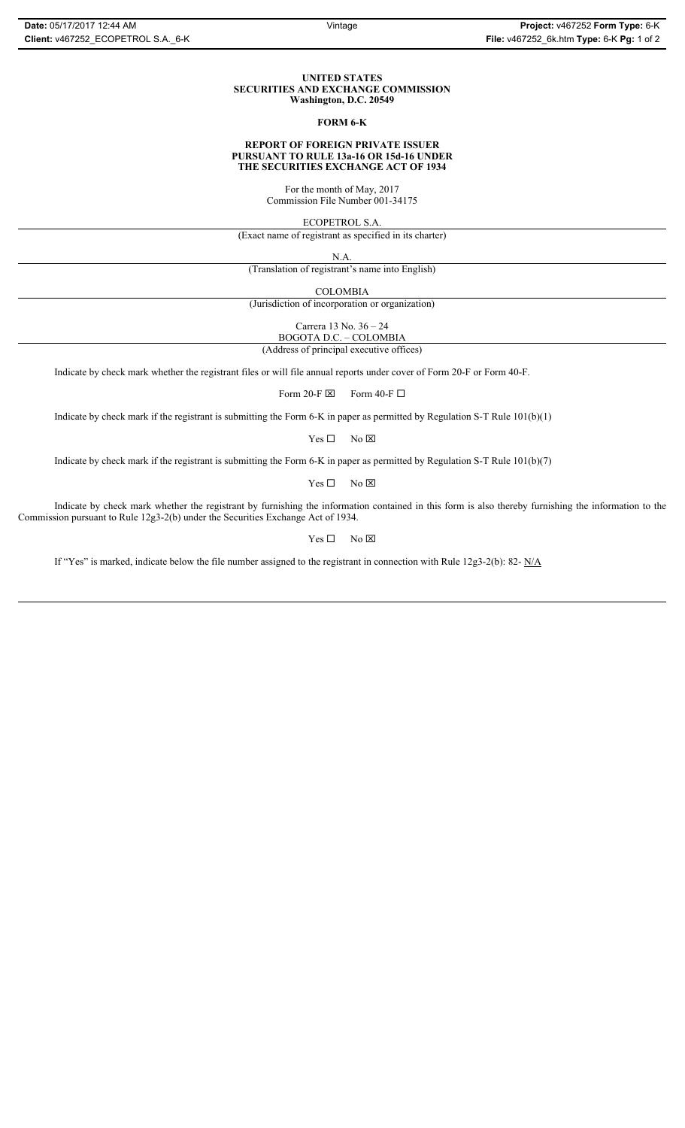#### **UNITED STATES SECURITIES AND EXCHANGE COMMISSION Washington, D.C. 20549**

### **FORM 6-K**

#### **REPORT OF FOREIGN PRIVATE ISSUER PURSUANT TO RULE 13a-16 OR 15d-16 UNDER THE SECURITIES EXCHANGE ACT OF 1934**

For the month of May, 2017 Commission File Number 001-34175

ECOPETROL S.A.

(Exact name of registrant as specified in its charter)

N.A.

(Translation of registrant's name into English)

COLOMBIA

(Jurisdiction of incorporation or organization)

Carrera 13 No. 36 – 24

BOGOTA D.C. – COLOMBIA (Address of principal executive offices)

Indicate by check mark whether the registrant files or will file annual reports under cover of Form 20-F or Form 40-F.

Form 20-F  $\boxtimes$  Form 40-F  $\Box$ 

Indicate by check mark if the registrant is submitting the Form 6-K in paper as permitted by Regulation S-T Rule 101(b)(1)

 $Yes \Box$  No  $\boxtimes$ 

Indicate by check mark if the registrant is submitting the Form 6-K in paper as permitted by Regulation S-T Rule 101(b)(7)

 $Yes \Box$  No  $\boxtimes$ 

Indicate by check mark whether the registrant by furnishing the information contained in this form is also thereby furnishing the information to the Commission pursuant to Rule 12g3-2(b) under the Securities Exchange Act of 1934.

 $Yes \Box$  No  $\boxtimes$ 

If "Yes" is marked, indicate below the file number assigned to the registrant in connection with Rule 12g3-2(b): 82- N/A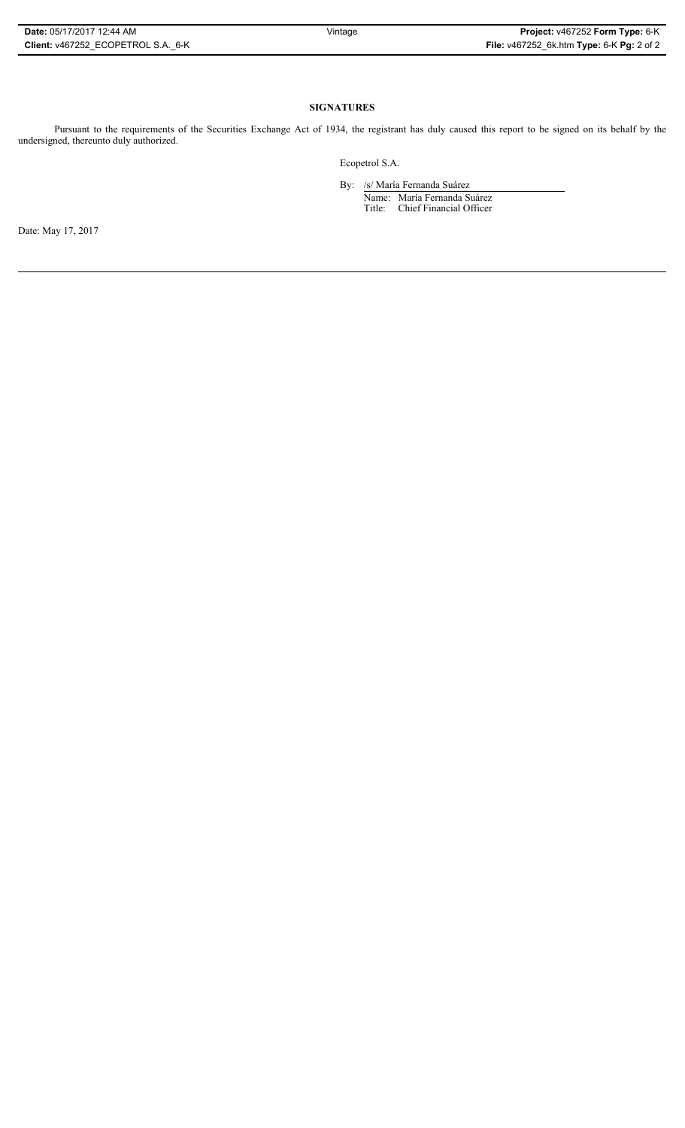## **SIGNATURES**

Pursuant to the requirements of the Securities Exchange Act of 1934, the registrant has duly caused this report to be signed on its behalf by the undersigned, thereunto duly authorized.

Ecopetrol S.A.

By: /s/ María Fernanda Suárez Name: María Fernanda Suárez Title: Chief Financial Officer

Date: May 17, 2017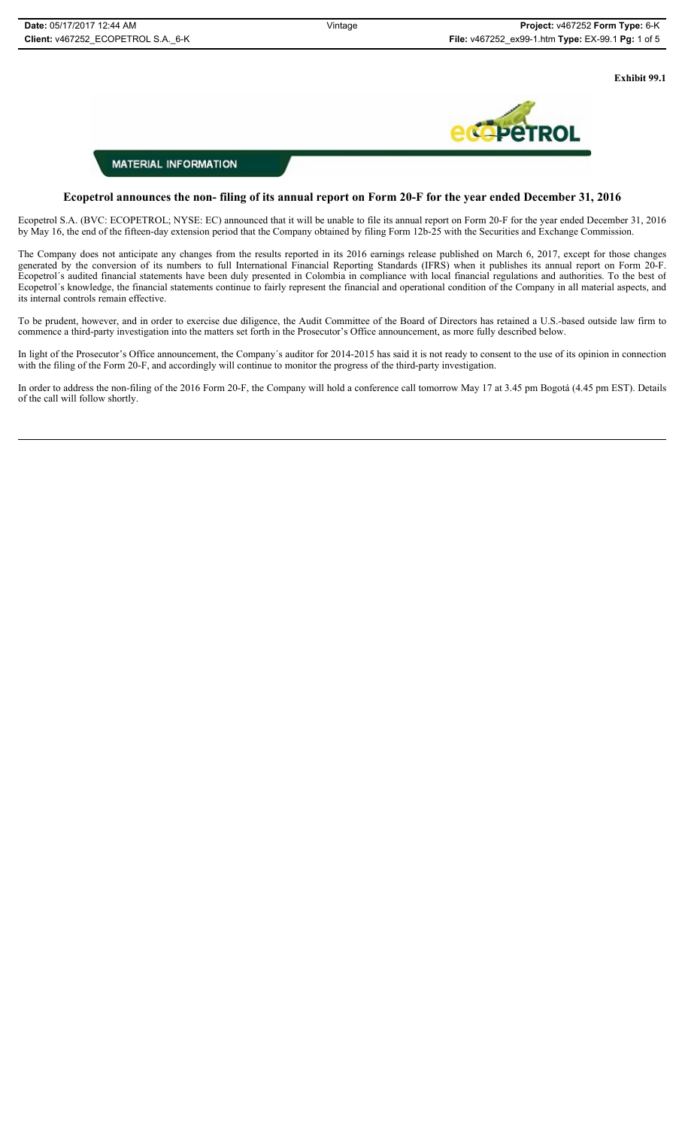**Exhibit 99.1**



# **MATERIAL INFORMATION**

## **Ecopetrol announces the non- filing of its annual report on Form 20-F for the year ended December 31, 2016**

Ecopetrol S.A. (BVC: ECOPETROL; NYSE: EC) announced that it will be unable to file its annual report on Form 20-F for the year ended December 31, 2016 by May 16, the end of the fifteen-day extension period that the Company obtained by filing Form 12b-25 with the Securities and Exchange Commission.

The Company does not anticipate any changes from the results reported in its 2016 earnings release published on March 6, 2017, except for those changes generated by the conversion of its numbers to full International Financial Reporting Standards (IFRS) when it publishes its annual report on Form 20-F. Ecopetrol´s audited financial statements have been duly presented in Colombia in compliance with local financial regulations and authorities. To the best of Ecopetrol´s knowledge, the financial statements continue to fairly represent the financial and operational condition of the Company in all material aspects, and its internal controls remain effective.

To be prudent, however, and in order to exercise due diligence, the Audit Committee of the Board of Directors has retained a U.S.-based outside law firm to commence a third-party investigation into the matters set forth in the Prosecutor's Office announcement, as more fully described below.

In light of the Prosecutor's Office announcement, the Company´s auditor for 2014-2015 has said it is not ready to consent to the use of its opinion in connection with the filing of the Form 20-F, and accordingly will continue to monitor the progress of the third-party investigation.

In order to address the non-filing of the 2016 Form 20-F, the Company will hold a conference call tomorrow May 17 at 3.45 pm Bogotá (4.45 pm EST). Details of the call will follow shortly.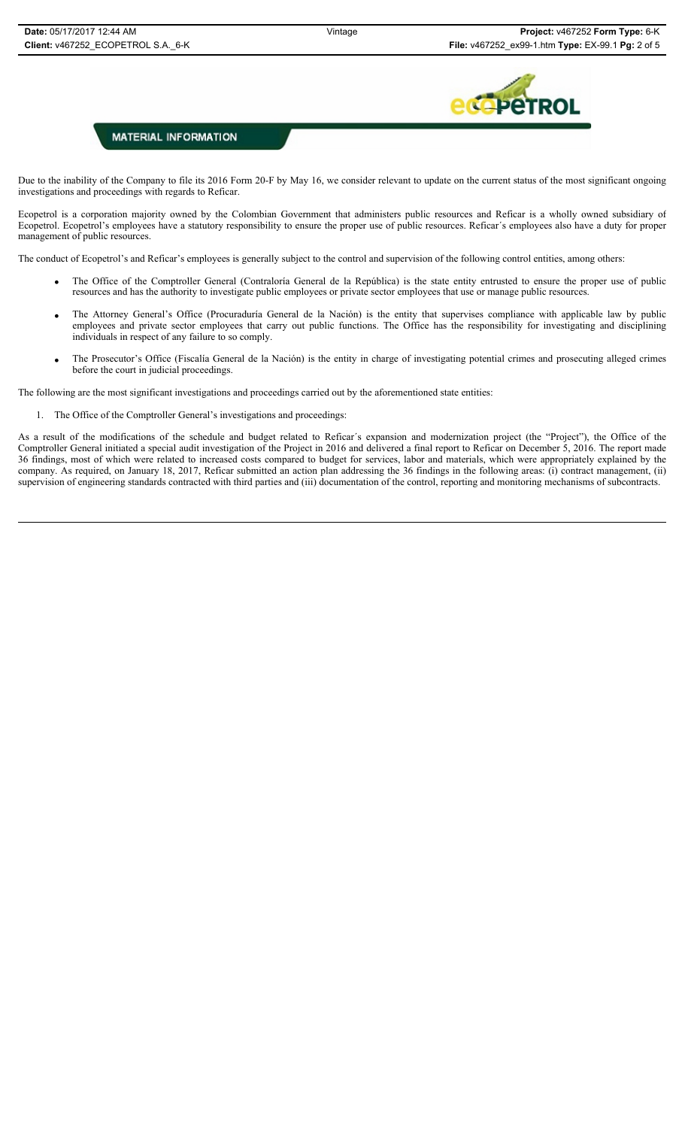

Due to the inability of the Company to file its 2016 Form 20-F by May 16, we consider relevant to update on the current status of the most significant ongoing investigations and proceedings with regards to Reficar.

Ecopetrol is a corporation majority owned by the Colombian Government that administers public resources and Reficar is a wholly owned subsidiary of Ecopetrol. Ecopetrol's employees have a statutory responsibility to ensure the proper use of public resources. Reficar´s employees also have a duty for proper management of public resources.

The conduct of Ecopetrol's and Reficar's employees is generally subject to the control and supervision of the following control entities, among others:

- x The Office of the Comptroller General (Contraloría General de la República) is the state entity entrusted to ensure the proper use of public resources and has the authority to investigate public employees or private sector employees that use or manage public resources.
- The Attorney General's Office (Procuraduría General de la Nación) is the entity that supervises compliance with applicable law by public employees and private sector employees that carry out public functions. The Office has the responsibility for investigating and disciplining individuals in respect of any failure to so comply.
- x The Prosecutor's Office (Fiscalía General de la Nación) is the entity in charge of investigating potential crimes and prosecuting alleged crimes before the court in judicial proceedings.

The following are the most significant investigations and proceedings carried out by the aforementioned state entities:

1. The Office of the Comptroller General's investigations and proceedings:

As a result of the modifications of the schedule and budget related to Reficar´s expansion and modernization project (the "Project"), the Office of the Comptroller General initiated a special audit investigation of the Project in 2016 and delivered a final report to Reficar on December 5, 2016. The report made 36 findings, most of which were related to increased costs compared to budget for services, labor and materials, which were appropriately explained by the company. As required, on January 18, 2017, Reficar submitted an action plan addressing the 36 findings in the following areas: (i) contract management, (ii) supervision of engineering standards contracted with third parties and (iii) documentation of the control, reporting and monitoring mechanisms of subcontracts.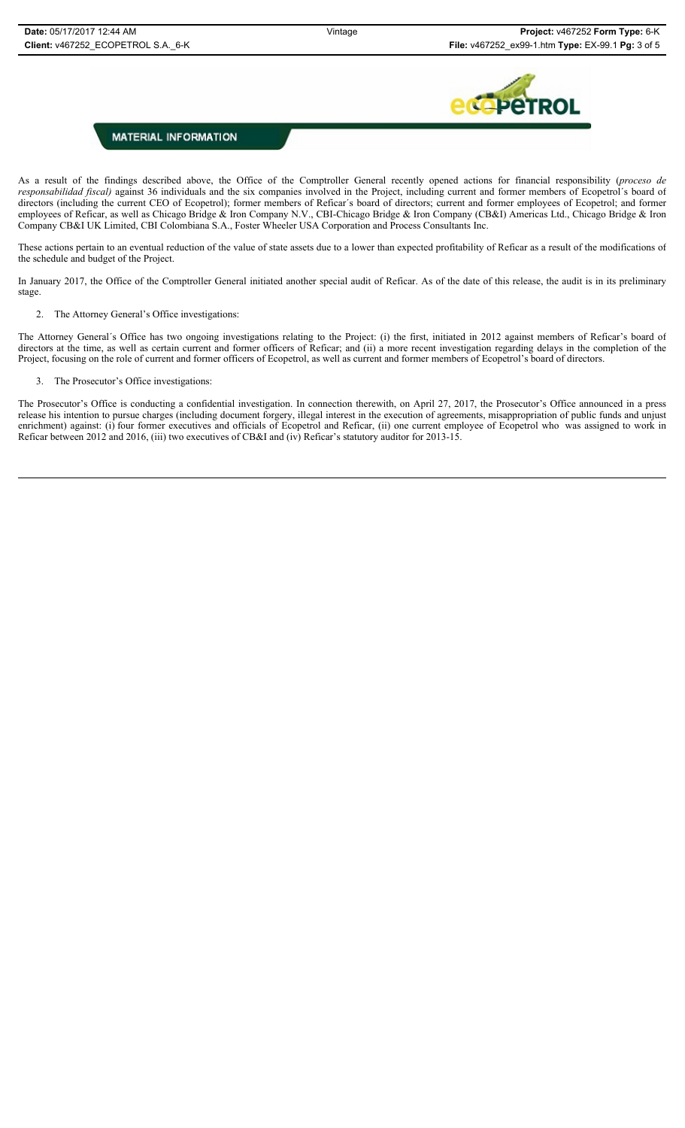

As a result of the findings described above, the Office of the Comptroller General recently opened actions for financial responsibility (*proceso de responsabilidad fiscal)* against 36 individuals and the six companies involved in the Project, including current and former members of Ecopetrol´s board of directors (including the current CEO of Ecopetrol); former members of Reficar´s board of directors; current and former employees of Ecopetrol; and former employees of Reficar, as well as Chicago Bridge & Iron Company N.V., CBI-Chicago Bridge & Iron Company (CB&I) Americas Ltd., Chicago Bridge & Iron Company CB&I UK Limited, CBI Colombiana S.A., Foster Wheeler USA Corporation and Process Consultants Inc.

These actions pertain to an eventual reduction of the value of state assets due to a lower than expected profitability of Reficar as a result of the modifications of the schedule and budget of the Project.

In January 2017, the Office of the Comptroller General initiated another special audit of Reficar. As of the date of this release, the audit is in its preliminary stage.

2. The Attorney General's Office investigations:

The Attorney General's Office has two ongoing investigations relating to the Project: (i) the first, initiated in 2012 against members of Reficar's board of directors at the time, as well as certain current and former officers of Reficar; and (ii) a more recent investigation regarding delays in the completion of the Project, focusing on the role of current and former officers of Ecopetrol, as well as current and former members of Ecopetrol's board of directors.

## 3. The Prosecutor's Office investigations:

The Prosecutor's Office is conducting a confidential investigation. In connection therewith, on April 27, 2017, the Prosecutor's Office announced in a press release his intention to pursue charges (including document forgery, illegal interest in the execution of agreements, misappropriation of public funds and unjust enrichment) against: (i) four former executives and officials of Ecopetrol and Reficar, (ii) one current employee of Ecopetrol who was assigned to work in Reficar between 2012 and 2016, (iii) two executives of CB&I and (iv) Reficar's statutory auditor for 2013-15.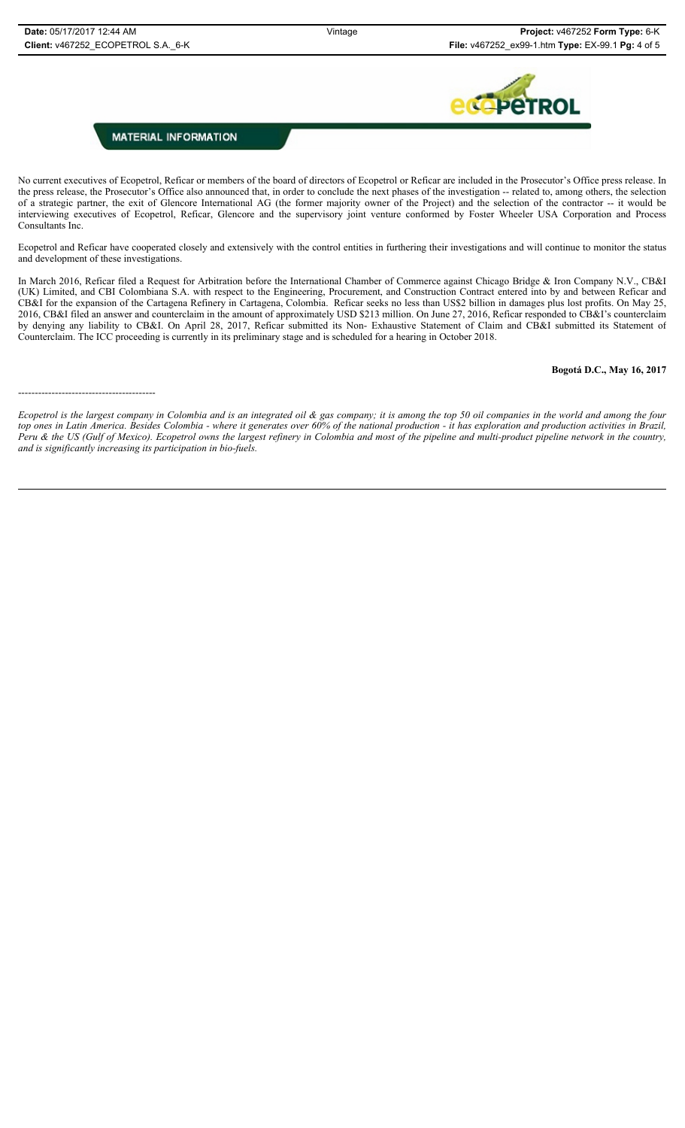

No current executives of Ecopetrol, Reficar or members of the board of directors of Ecopetrol or Reficar are included in the Prosecutor's Office press release. In the press release, the Prosecutor's Office also announced that, in order to conclude the next phases of the investigation -- related to, among others, the selection of a strategic partner, the exit of Glencore International AG (the former majority owner of the Project) and the selection of the contractor -- it would be interviewing executives of Ecopetrol, Reficar, Glencore and the supervisory joint venture conformed by Foster Wheeler USA Corporation and Process Consultants Inc.

Ecopetrol and Reficar have cooperated closely and extensively with the control entities in furthering their investigations and will continue to monitor the status and development of these investigations.

In March 2016, Reficar filed a Request for Arbitration before the International Chamber of Commerce against Chicago Bridge & Iron Company N.V., CB&I (UK) Limited, and CBI Colombiana S.A. with respect to the Engineering, Procurement, and Construction Contract entered into by and between Reficar and CB&I for the expansion of the Cartagena Refinery in Cartagena, Colombia. Reficar seeks no less than US\$2 billion in damages plus lost profits. On May 25, 2016, CB&I filed an answer and counterclaim in the amount of approximately USD \$213 million. On June 27, 2016, Reficar responded to CB&I's counterclaim by denying any liability to CB&I. On April 28, 2017, Reficar submitted its Non- Exhaustive Statement of Claim and CB&I submitted its Statement of Counterclaim. The ICC proceeding is currently in its preliminary stage and is scheduled for a hearing in October 2018.

## **Bogotá D.C., May 16, 2017**

-----------------------------------------

*Ecopetrol is the largest company in Colombia and is an integrated oil & gas company; it is among the top 50 oil companies in the world and among the four top ones in Latin America. Besides Colombia - where it generates over 60% of the national production - it has exploration and production activities in Brazil, Peru & the US (Gulf of Mexico). Ecopetrol owns the largest refinery in Colombia and most of the pipeline and multi-product pipeline network in the country, and is significantly increasing its participation in bio-fuels.*